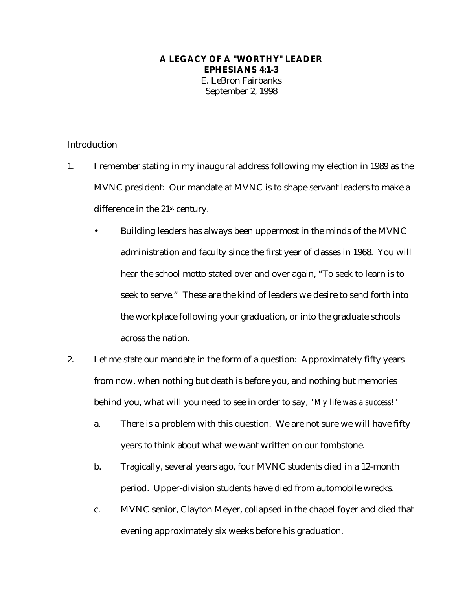## **A LEGACY OF A "WORTHY" LEADER EPHESIANS 4:1-3** E. LeBron Fairbanks September 2, 1998

## **Introduction**

- 1. I remember stating in my inaugural address following my election in 1989 as the MVNC president: Our mandate at MVNC is to shape servant leaders to make a difference in the 21st century.
	- Building leaders has always been uppermost in the minds of the MVNC administration and faculty since the first year of classes in 1968. You will hear the school motto stated over and over again, "To seek to learn is to seek to serve." These are the kind of leaders we desire to send forth into the workplace following your graduation, or into the graduate schools across the nation.
- 2. Let me state our mandate in the form of a question: Approximately fifty years from now, when nothing but death is before you, and nothing but memories behind you, what will you need to see in order to say, *"My life was a success!"*
	- a. There is a problem with this question. We are not sure we will have fifty years to think about what we want written on our tombstone.
	- b. Tragically, several years ago, four MVNC students died in a 12-month period. Upper-division students have died from automobile wrecks.
	- c. MVNC senior, Clayton Meyer, collapsed in the chapel foyer and died that evening approximately six weeks before his graduation.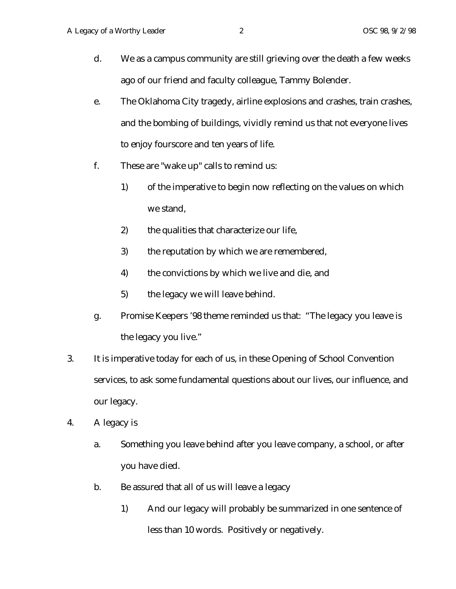- d. We as a campus community are still grieving over the death a few weeks ago of our friend and faculty colleague, Tammy Bolender.
- e. The Oklahoma City tragedy, airline explosions and crashes, train crashes, and the bombing of buildings, vividly remind us that not everyone lives to enjoy fourscore and ten years of life.
- f. These are "wake up" calls to remind us:
	- 1) of the imperative to begin now reflecting on the values on which we stand,
	- 2) the qualities that characterize our life,
	- 3) the reputation by which we are remembered,
	- 4) the convictions by which we live and die, and
	- 5) the legacy we will leave behind.
- g. Promise Keepers '98 theme reminded us that: "The legacy you leave is the legacy you live."
- 3. It is imperative today for each of us, in these Opening of School Convention services, to ask some fundamental questions about our lives, our influence, and our legacy.
- 4. A legacy is
	- a. Something you leave behind after you leave company, a school, or after you have died.
	- b. Be assured that all of us will leave a legacy
		- 1) And our legacy will probably be summarized in one sentence of less than 10 words. Positively or negatively.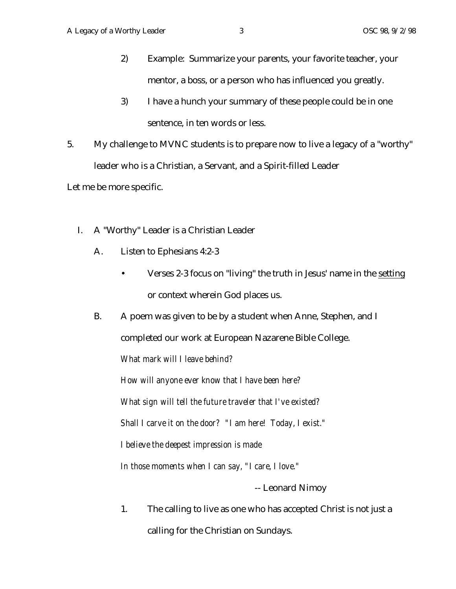- 2) Example: Summarize your parents, your favorite teacher, your mentor, a boss, or a person who has influenced you greatly.
- 3) I have a hunch your summary of these people could be in one sentence, in ten words or less.
- 5. My challenge to MVNC students is to prepare now to live a legacy of a "worthy" leader who is a Christian, a Servant, and a Spirit-filled Leader

Let me be more specific.

- I. A "Worthy" Leader is a Christian Leader
	- A. Listen to Ephesians 4:2-3
		- Verses 2-3 focus on "living" the truth in Jesus' name in the setting or context wherein God places us.
	- B. A poem was given to be by a student when Anne, Stephen, and I completed our work at European Nazarene Bible College. *What mark will I leave behind? How will anyone ever know that I have been here? What sign will tell the future traveler that I've existed? Shall I carve it on the door? "I am here! Today, I exist." I believe the deepest impression is made In those moments when I can say, "I care, I love."* -- Leonard Nimoy
		- 1. The calling to live as one who has accepted Christ is not just a calling for the Christian on Sundays.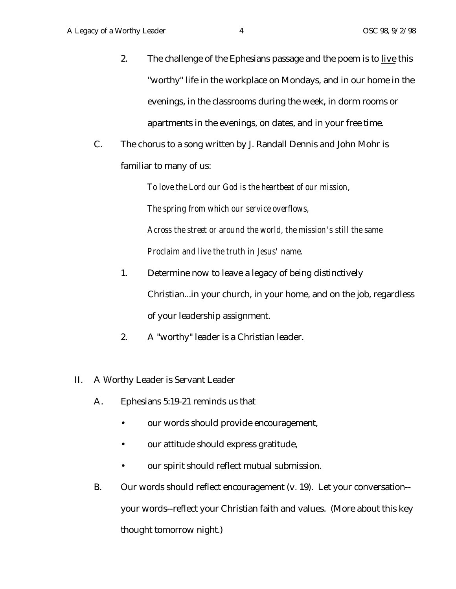- 2. The challenge of the Ephesians passage and the poem is to live this "worthy" life in the workplace on Mondays, and in our home in the evenings, in the classrooms during the week, in dorm rooms or apartments in the evenings, on dates, and in your free time.
- C. The chorus to a song written by J. Randall Dennis and John Mohr is familiar to many of us:

*To love the Lord our God is the heartbeat of our mission, The spring from which our service overflows, Across the street or around the world, the mission's still the same Proclaim and live the truth in Jesus' name.*

- 1. Determine now to leave a legacy of being distinctively Christian...in your church, in your home, and on the job, regardless of your leadership assignment.
- 2. A "worthy" leader is a Christian leader.
- II. A Worthy Leader is Servant Leader
	- A. Ephesians 5:19-21 reminds us that
		- our words should provide encouragement,
		- our attitude should express gratitude,
		- our spirit should reflect mutual submission.
	- B. Our words should reflect encouragement (v. 19). Let your conversation- your words--reflect your Christian faith and values. (More about this key thought tomorrow night.)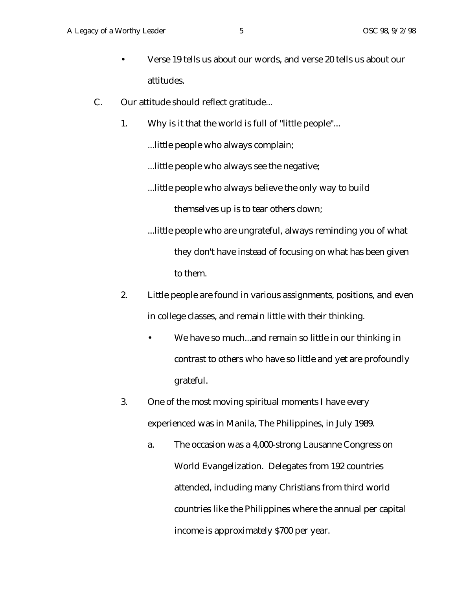- Verse 19 tells us about our words, and verse 20 tells us about our attitudes.
- C. Our attitude should reflect gratitude...
	- 1. Why is it that the world is full of "little people"...

...little people who always complain;

...little people who always see the negative;

...little people who always believe the only way to build

themselves up is to tear others down;

...little people who are ungrateful, always reminding you of what they don't have instead of focusing on what has been given to them.

- 2. Little people are found in various assignments, positions, and even in college classes, and remain little with their thinking.
	- We have so much...and remain so little in our thinking in contrast to others who have so little and yet are profoundly grateful.
- 3. One of the most moving spiritual moments I have every experienced was in Manila, The Philippines, in July 1989.
	- a. The occasion was a 4,000-strong Lausanne Congress on World Evangelization. Delegates from 192 countries attended, including many Christians from third world countries like the Philippines where the annual per capital income is approximately \$700 per year.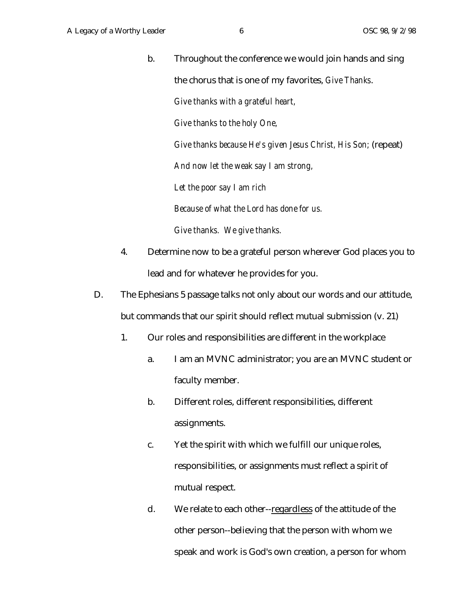| b. | Throughout the conference we would join hands and sing         |
|----|----------------------------------------------------------------|
|    | the chorus that is one of my favorites, <i>Give Thanks</i> .   |
|    | Give thanks with a grateful heart,                             |
|    | Give thanks to the holy One,                                   |
|    | Give thanks because He's given Jesus Christ, His Son; (repeat) |
|    | And now let the weak say I am strong,                          |
|    | Let the poor say I am rich                                     |
|    | Because of what the Lord has done for us.                      |
|    | Give thanks. We give thanks.                                   |

- 4. Determine now to be a grateful person wherever God places you to lead and for whatever he provides for you.
- D. The Ephesians 5 passage talks not only about our words and our attitude, but commands that our spirit should reflect mutual submission (v. 21)
	- 1. Our roles and responsibilities are different in the workplace
		- a. I am an MVNC administrator; you are an MVNC student or faculty member.
		- b. Different roles, different responsibilities, different assignments.
		- c. Yet the spirit with which we fulfill our unique roles, responsibilities, or assignments must reflect a spirit of mutual respect.
		- d. We relate to each other--regardless of the attitude of the other person--believing that the person with whom we speak and work is God's own creation, a person for whom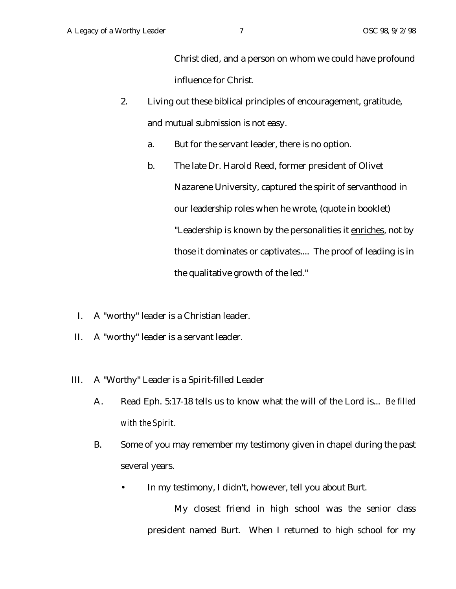Christ died, and a person on whom we could have profound influence for Christ.

- 2. Living out these biblical principles of encouragement, gratitude, and mutual submission is not easy.
	- a. But for the servant leader, there is no option.
	- b. The late Dr. Harold Reed, former president of Olivet Nazarene University, captured the spirit of servanthood in our leadership roles when he wrote, (quote in booklet) "Leadership is known by the personalities it enriches, not by those it dominates or captivates.... The proof of leading is in the qualitative growth of the led."
- I. A "worthy" leader is a Christian leader.
- II. A "worthy" leader is a servant leader.
- III. A "Worthy" Leader is a Spirit-filled Leader
	- A. Read Eph. 5:17-18 tells us to know what the will of the Lord is... *Be filled with the Spirit.*
	- B. Some of you may remember my testimony given in chapel during the past several years.
		- In my testimony, I didn't, however, tell you about Burt.

My closest friend in high school was the senior class president named Burt. When I returned to high school for my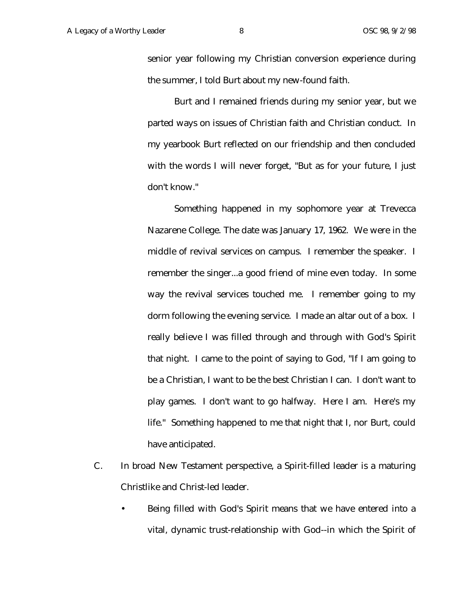senior year following my Christian conversion experience during the summer, I told Burt about my new-found faith.

Burt and I remained friends during my senior year, but we parted ways on issues of Christian faith and Christian conduct. In my yearbook Burt reflected on our friendship and then concluded with the words I will never forget, "But as for your future, I just don't know."

Something happened in my sophomore year at Trevecca Nazarene College. The date was January 17, 1962. We were in the middle of revival services on campus. I remember the speaker. I remember the singer...a good friend of mine even today. In some way the revival services touched me. I remember going to my dorm following the evening service. I made an altar out of a box. I really believe I was filled through and through with God's Spirit that night. I came to the point of saying to God, "If I am going to be a Christian, I want to be the best Christian I can. I don't want to play games. I don't want to go halfway. Here I am. Here's my life." Something happened to me that night that I, nor Burt, could have anticipated.

- C. In broad New Testament perspective, a Spirit-filled leader is a maturing Christlike and Christ-led leader.
	- Being filled with God's Spirit means that we have entered into a vital, dynamic trust-relationship with God--in which the Spirit of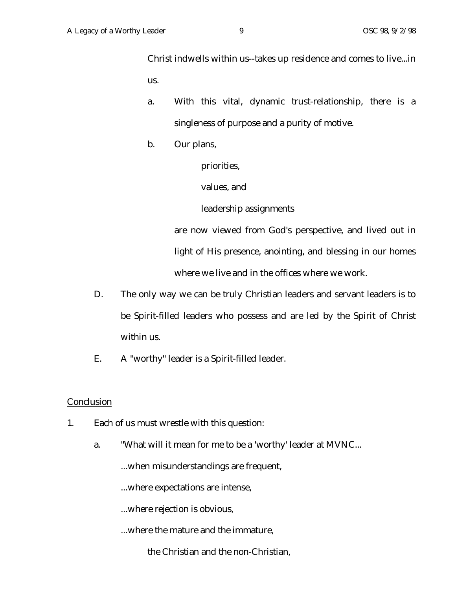Christ indwells within us--takes up residence and comes to live...in us.

- a. With this vital, dynamic trust-relationship, there is a singleness of purpose and a purity of motive.
- b. Our plans,

priorities,

values, and

leadership assignments

are now viewed from God's perspective, and lived out in light of His presence, anointing, and blessing in our homes where we live and in the offices where we work.

- D. The only way we can be truly Christian leaders and servant leaders is to be Spirit-filled leaders who possess and are led by the Spirit of Christ within us.
- E. A "worthy" leader is a Spirit-filled leader.

## Conclusion

- 1. Each of us must wrestle with this question:
	- a. "What will it mean for me to be a 'worthy' leader at MVNC...

...when misunderstandings are frequent,

...where expectations are intense,

...where rejection is obvious,

...where the mature and the immature,

the Christian and the non-Christian,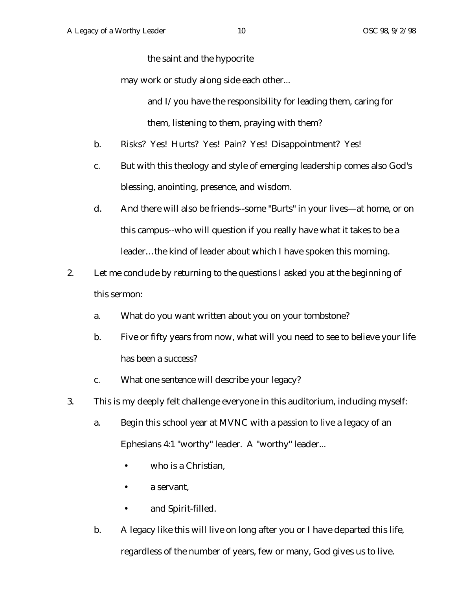the saint and the hypocrite

may work or study along side each other...

and I/you have the responsibility for leading them, caring for them, listening to them, praying with them?

- b. Risks? Yes! Hurts? Yes! Pain? Yes! Disappointment? Yes!
- c. But with this theology and style of emerging leadership comes also God's blessing, anointing, presence, and wisdom.
- d. And there will also be friends--some "Burts" in your lives—at home, or on this campus--who will question if you really have what it takes to be a leader…the kind of leader about which I have spoken this morning.
- 2. Let me conclude by returning to the questions I asked you at the beginning of this sermon:
	- a. What do you want written about you on your tombstone?
	- b. Five or fifty years from now, what will you need to see to believe your life has been a success?
	- c. What one sentence will describe your legacy?
- 3. This is my deeply felt challenge everyone in this auditorium, including myself:
	- a. Begin this school year at MVNC with a passion to live a legacy of an Ephesians 4:1 "worthy" leader. A "worthy" leader...
		- who is a Christian,
		- a servant,
		- and Spirit-filled.
	- b. A legacy like this will live on long after you or I have departed this life, regardless of the number of years, few or many, God gives us to live.